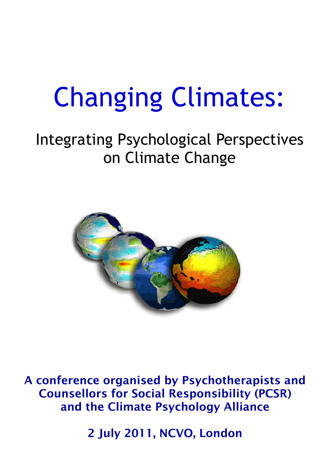# Changing Climates:

# Integrating Psychological Perspectives on Climate Change



A conference organised by Psychotherapists and Counsellors for Social Responsibility (PCSR) and the Climate Psychology Alliance

2 July 2011, NCVO, London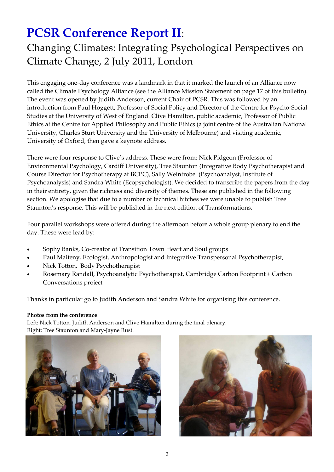## PCSR Conference Report II:

### Changing Climates: Integrating Psychological Perspectives on Climate Change, 2 July 2011, London

This engaging one-day conference was a landmark in that it marked the launch of an Alliance now called the Climate Psychology Alliance (see the Alliance Mission Statement on page 17 of this bulletin). The event was opened by Judith Anderson, current Chair of PCSR. This was followed by an introduction from Paul Hoggett, Professor of Social Policy and Director of the Centre for Psycho-Social Studies at the University of West of England. Clive Hamilton, public academic, Professor of Public Ethics at the Centre for Applied Philosophy and Public Ethics (a joint centre of the Australian National University, Charles Sturt University and the University of Melbourne) and visiting academic, University of Oxford, then gave a keynote address.

There were four response to Clive's address. These were from: Nick Pidgeon (Professor of Environmental Psychology, Cardiff University), Tree Staunton (Integrative Body Psychotherapist and Course Director for Psychotherapy at BCPC), Sally Weintrobe (Psychoanalyst, Institute of Psychoanalysis) and Sandra White (Ecopsychologist). We decided to transcribe the papers from the day in their entirety, given the richness and diversity of themes. These are published in the following section. We apologise that due to a number of technical hitches we were unable to publish Tree Staunton's response. This will be published in the next edition of Transformations.

Four parallel workshops were offered during the afternoon before a whole group plenary to end the day. These were lead by:

- Sophy Banks, Co-creator of Transition Town Heart and Soul groups
- Paul Maiteny, Ecologist, Anthropologist and Integrative Transpersonal Psychotherapist,
- Nick Totton, Body Psychotherapist
- Rosemary Randall, Psychoanalytic Psychotherapist, Cambridge Carbon Footprint + Carbon Conversations project

Thanks in particular go to Judith Anderson and Sandra White for organising this conference.

#### Photos from the conference

Left: Nick Totton, Judith Anderson and Clive Hamilton during the final plenary. Right: Tree Staunton and Mary-Jayne Rust.



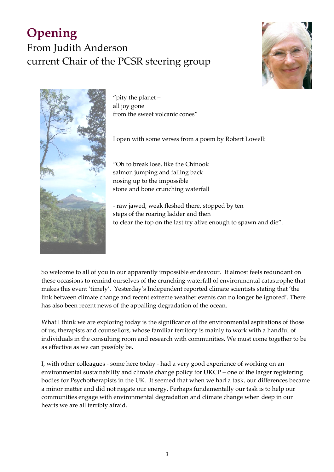### Opening From Judith Anderson current Chair of the PCSR steering group





"pity the planet – all joy gone from the sweet volcanic cones"

I open with some verses from a poem by Robert Lowell:

"Oh to break lose, like the Chinook salmon jumping and falling back nosing up to the impossible stone and bone crunching waterfall

- raw jawed, weak fleshed there, stopped by ten steps of the roaring ladder and then to clear the top on the last try alive enough to spawn and die".

So welcome to all of you in our apparently impossible endeavour. It almost feels redundant on these occasions to remind ourselves of the crunching waterfall of environmental catastrophe that makes this event 'timely'. Yesterday's Independent reported climate scientists stating that 'the link between climate change and recent extreme weather events can no longer be ignored'. There has also been recent news of the appalling degradation of the ocean.

What I think we are exploring today is the significance of the environmental aspirations of those of us, therapists and counsellors, whose familiar territory is mainly to work with a handful of individuals in the consulting room and research with communities. We must come together to be as effective as we can possibly be.

I, with other colleagues - some here today - had a very good experience of working on an environmental sustainability and climate change policy for UKCP – one of the larger registering bodies for Psychotherapists in the UK. It seemed that when we had a task, our differences became a minor matter and did not negate our energy. Perhaps fundamentally our task is to help our communities engage with environmental degradation and climate change when deep in our hearts we are all terribly afraid.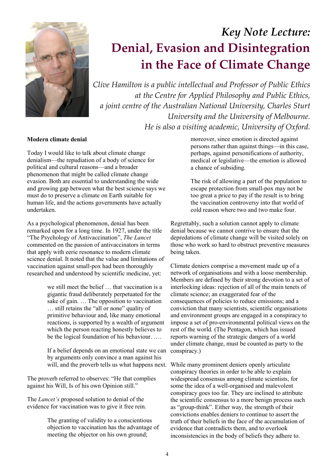

# Key Note Lecture: Denial, Evasion and Disintegration in the Face of Climate Change

Clive Hamilton is a public intellectual and Professor of Public Ethics at the Centre for Applied Philosophy and Public Ethics, a joint centre of the Australian National University, Charles Sturt University and the University of Melbourne. He is also a visiting academic, University of Oxford.

#### Modern climate denial

Today I would like to talk about climate change denialism—the repudiation of a body of science for political and cultural reasons—and a broader phenomenon that might be called climate change evasion. Both are essential to understanding the wide and growing gap between what the best science says we must do to preserve a climate on Earth suitable for human life, and the actions governments have actually undertaken.

As a psychological phenomenon, denial has been remarked upon for a long time. In 1927, under the title "The Psychology of Antivaccination", The Lancet commented on the passion of antivaccinators in terms that apply with eerie resonance to modern climate science denial. It noted that the value and limitations of vaccination against small-pox had been thoroughly researched and understood by scientific medicine, yet:

> we still meet the belief … that vaccination is a gigantic fraud deliberately perpetuated for the sake of gain. … The opposition to vaccination … still retains the "all or none" quality of primitive behaviour and, like many emotional reactions, is supported by a wealth of argument which the person reacting honestly believes to be the logical foundation of his behaviour. ….

If a belief depends on an emotional state we can by arguments only convince a man against his will, and the proverb tells us what happens next.

The proverb referred to observes: "He that complies against his Will, Is of his own Opinion still."

The Lancet's proposed solution to denial of the evidence for vaccination was to give it free rein.

> The granting of validity to a conscientious objection to vaccination has the advantage of meeting the objector on his own ground;

moreover, since emotion is directed against persons rather than against things—in this case, perhaps, against personifications of authority, medical or legislative—the emotion is allowed a chance of subsiding.

The risk of allowing a part of the population to escape protection from small-pox may not be too great a price to pay if the result is to bring the vaccination controversy into that world of cold reason where two and two make four.

Regrettably, such a solution cannot apply to climate denial because we cannot contrive to ensure that the depredations of climate change will be visited solely on those who work so hard to obstruct preventive measures being taken.

Climate deniers comprise a movement made up of a network of organisations and with a loose membership. Members are defined by their strong devotion to a set of interlocking ideas: rejection of all of the main tenets of climate science; an exaggerated fear of the consequences of policies to reduce emissions; and a conviction that many scientists, scientific organisations and environment groups are engaged in a conspiracy to impose a set of pro-environmental political views on the rest of the world. (The Pentagon, which has issued reports warning of the strategic dangers of a world under climate change, must be counted as party to the conspiracy.)

While many prominent deniers openly articulate conspiracy theories in order to be able to explain widespread consensus among climate scientists, for some the idea of a well-organised and malevolent conspiracy goes too far. They are inclined to attribute the scientific consensus to a more benign process such as "group-think". Either way, the strength of their convictions enables deniers to continue to assert the truth of their beliefs in the face of the accumulation of evidence that contradicts them, and to overlook inconsistencies in the body of beliefs they adhere to.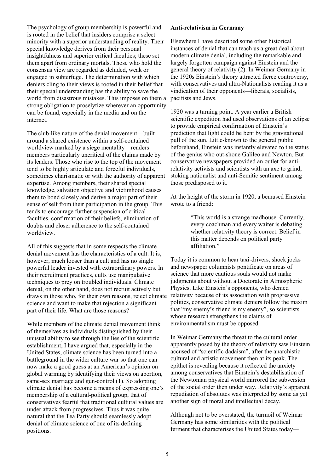The psychology of group membership is powerful and is rooted in the belief that insiders comprise a select minority with a superior understanding of reality. Their special knowledge derives from their personal insightfulness and superior critical faculties; these set them apart from ordinary mortals. Those who hold the consensus view are regarded as deluded, weak or engaged in subterfuge. The determination with which deniers cling to their views is rooted in their belief that their special understanding has the ability to save the world from disastrous mistakes. This imposes on them a strong obligation to proselytize wherever an opportunity can be found, especially in the media and on the internet.

The club-like nature of the denial movement—built around a shared existence within a self-contained worldview marked by a siege mentality—renders members particularly uncritical of the claims made by its leaders. Those who rise to the top of the movement tend to be highly articulate and forceful individuals, sometimes charismatic or with the authority of apparent expertise. Among members, their shared special knowledge, salvation objective and victimhood causes them to bond closely and derive a major part of their sense of self from their participation in the group. This tends to encourage further suspension of critical faculties, confirmation of their beliefs, elimination of doubts and closer adherence to the self-contained worldview.

All of this suggests that in some respects the climate denial movement has the characteristics of a cult. It is, however, much looser than a cult and has no single powerful leader invested with extraordinary powers. In their recruitment practices, cults use manipulative techniques to prey on troubled individuals. Climate denial, on the other hand, does not recruit actively but draws in those who, for their own reasons, reject climate science and want to make that rejection a significant part of their life. What are those reasons?

While members of the climate denial movement think of themselves as individuals distinguished by their unusual ability to see through the lies of the scientific establishment, I have argued that, especially in the United States, climate science has been turned into a battleground in the wider culture war so that one can now make a good guess at an American's opinion on global warming by identifying their views on abortion, same-sex marriage and gun-control (1). So adopting climate denial has become a means of expressing one's membership of a cultural-political group, that of conservatives fearful that traditional cultural values are under attack from progressives. Thus it was quite natural that the Tea Party should seamlessly adopt denial of climate science of one of its defining positions.

#### Anti-relativism in Germany

Elsewhere I have described some other historical instances of denial that can teach us a great deal about modern climate denial, including the remarkable and largely forgotten campaign against Einstein and the general theory of relativity (2). In Weimar Germany in the 1920s Einstein's theory attracted fierce controversy, with conservatives and ultra-Nationalists reading it as a vindication of their opponents—liberals, socialists, pacifists and Jews.

1920 was a turning point. A year earlier a British scientific expedition had used observations of an eclipse to provide empirical confirmation of Einstein's prediction that light could be bent by the gravitational pull of the sun. Little-known to the general public beforehand, Einstein was instantly elevated to the status of the genius who out-shone Galileo and Newton. But conservative newspapers provided an outlet for antirelativity activists and scientists with an axe to grind, stoking nationalist and anti-Semitic sentiment among those predisposed to it.

At the height of the storm in 1920, a bemused Einstein wrote to a friend:

> "This world is a strange madhouse. Currently, every coachman and every waiter is debating whether relativity theory is correct. Belief in this matter depends on political party affiliation"

Today it is common to hear taxi-drivers, shock jocks and newspaper columnists pontificate on areas of science that more cautious souls would not make judgments about without a Doctorate in Atmospheric Physics. Like Einstein's opponents, who denied relativity because of its association with progressive politics, conservative climate deniers follow the maxim that "my enemy's friend is my enemy", so scientists whose research strengthens the claims of environmentalism must be opposed.

In Weimar Germany the threat to the cultural order apparently posed by the theory of relativity saw Einstein accused of "scientific dadaism", after the anarchistic cultural and artistic movement then at its peak. The epithet is revealing because it reflected the anxiety among conservatives that Einstein's destabilisation of the Newtonian physical world mirrored the subversion of the social order then under way. Relativity's apparent repudiation of absolutes was interpreted by some as yet another sign of moral and intellectual decay.

Although not to be overstated, the turmoil of Weimar Germany has some similarities with the political ferment that characterises the United States today—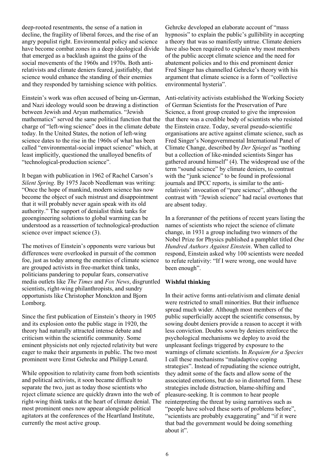deep-rooted resentments, the sense of a nation in decline, the fragility of liberal forces, and the rise of an angry populist right. Environmental policy and science have become combat zones in a deep ideological divide that emerged as a backlash against the gains of the social movements of the 1960s and 1970s. Both antirelativists and climate deniers feared, justifiably, that science would enhance the standing of their enemies and they responded by tarnishing science with politics.

Einstein's work was often accused of being un-German, and Nazi ideology would soon be drawing a distinction between Jewish and Aryan mathematics. "Jewish mathematics" served the same political function that the charge of "left-wing science" does in the climate debate today. In the United States, the notion of left-wing science dates to the rise in the 1960s of what has been called "environmental-social impact science" which, at least implicitly, questioned the unalloyed benefits of "technological-production science".

It began with publication in 1962 of Rachel Carson's Silent Spring. By 1975 Jacob Needleman was writing: "Once the hope of mankind, modern science has now become the object of such mistrust and disappointment that it will probably never again speak with its old authority." The support of denialist think tanks for geoengineering solutions to global warming can be understood as a reassertion of technological-production science over impact science (3).

The motives of Einstein's opponents were various but differences were overlooked in pursuit of the common foe, just as today among the enemies of climate science are grouped activists in free-market think tanks, politicians pandering to popular fears, conservative media outlets like The Times and Fox News, disgruntled scientists, right-wing philanthropists, and sundry opportunists like Christopher Monckton and Bjorn Lomborg.

Since the first publication of Einstein's theory in 1905 and its explosion onto the public stage in 1920, the theory had naturally attracted intense debate and criticism within the scientific community. Some eminent physicists not only rejected relativity but were eager to make their arguments in public. The two most prominent were Ernst Gehrcke and Philipp Lenard.

While opposition to relativity came from both scientists and political activists, it soon became difficult to separate the two, just as today those scientists who reject climate science are quickly drawn into the web of right-wing think tanks at the heart of climate denial. The most prominent ones now appear alongside political agitators at the conferences of the Heartland Institute, currently the most active group.

Gehrcke developed an elaborate account of "mass hypnosis" to explain the public's gullibility in accepting a theory that was so manifestly untrue. Climate deniers have also been required to explain why most members of the public accept climate science and the need for abatement policies and to this end prominent denier Fred Singer has channelled Gehrcke's theory with his argument that climate science is a form of "collective environmental hysteria".

Anti-relativity activists established the Working Society of German Scientists for the Preservation of Pure Science, a front group created to give the impression that there was a credible body of scientists who resisted the Einstein craze. Today, several pseudo-scientific organisations are active against climate science, such as Fred Singer's Nongovernmental International Panel of Climate Change, described by Der Spiegel as "nothing but a collection of like-minded scientists Singer has gathered around himself" (4). The widespread use of the term "sound science" by climate deniers, to contrast with the "junk science" to be found in professional journals and IPCC reports, is similar to the antirelativists' invocation of "pure science", although the contrast with "Jewish science" had racial overtones that are absent today.

In a forerunner of the petitions of recent years listing the names of scientists who reject the science of climate change, in 1931 a group including two winners of the Nobel Prize for Physics published a pamphlet titled One Hundred Authors Against Einstein. When called to respond, Einstein asked why 100 scientists were needed to refute relativity: "If I were wrong, one would have been enough".

#### Wishful thinking

In their active forms anti-relativism and climate denial were restricted to small minorities. But their influence spread much wider. Although most members of the public superficially accept the scientific consensus, by sowing doubt deniers provide a reason to accept it with less conviction. Doubts sown by deniers reinforce the psychological mechanisms we deploy to avoid the unpleasant feelings triggered by exposure to the warnings of climate scientists. In Requiem for a Species I call these mechanisms "maladaptive coping strategies". Instead of repudiating the science outright, they admit some of the facts and allow some of the associated emotions, but do so in distorted form. These strategies include distraction, blame-shifting and pleasure-seeking. It is common to hear people reinterpreting the threat by using narratives such as "people have solved these sorts of problems before", "scientists are probably exaggerating" and "if it were that bad the government would be doing something about it".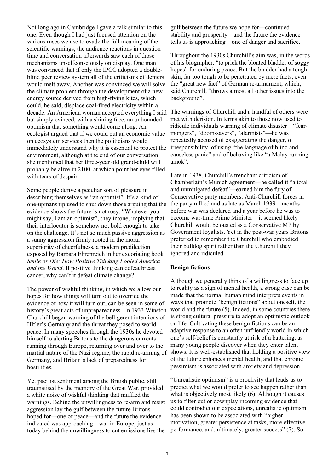Not long ago in Cambridge I gave a talk similar to this one. Even though I had just focused attention on the various ruses we use to evade the full meaning of the scientific warnings, the audience reactions in question time and conversation afterwards saw each of those mechanisms unselfconsciously on display. One man was convinced that if only the IPCC adopted a doubleblind peer review system all of the criticisms of deniers would melt away. Another was convinced we will solve the climate problem through the development of a new energy source derived from high-flying kites, which could, he said, displace coal-fired electricity within a decade. An American woman accepted everything I said The warnings of Churchill and a handful of others were but simply evinced, with a shining face, an unbounded optimism that something would come along. An ecologist argued that if we could put an economic value on ecosystem services then the politicians would immediately understand why it is essential to protect the irresponsibility, of using "the language of blind and environment, although at the end of our conversation she mentioned that her three-year old grand-child will probably be alive in 2100, at which point her eyes filled with tears of despair.

Some people derive a peculiar sort of pleasure in describing themselves as "an optimist". It's a kind of one-upmanship used to shut down those arguing that the evidence shows the future is not rosy. "Whatever you might say, I am an optimist", they intone, implying that their interlocutor is somehow not bold enough to take on the challenge. It's not so much passive aggression as a sunny aggression firmly rooted in the moral superiority of cheerfulness, a modern predilection exposed by Barbara Ehrenreich in her excoriating book Smile or Die: How Positive Thinking Fooled America and the World. If positive thinking can defeat breast cancer, why can't it defeat climate change?

The power of wishful thinking, in which we allow our hopes for how things will turn out to override the evidence of how it will turn out, can be seen in some of history's great acts of unpreparedness. In 1933 Winston Churchill began warning of the belligerent intentions of Hitler's Germany and the threat they posed to world peace. In many speeches through the 1930s he devoted himself to alerting Britons to the dangerous currents running through Europe, returning over and over to the martial nature of the Nazi regime, the rapid re-arming of Germany, and Britain's lack of preparedness for hostilities.

Yet pacifist sentiment among the British public, still traumatised by the memory of the Great War, provided a white noise of wishful thinking that muffled the warnings. Behind the unwillingness to re-arm and resist aggression lay the gulf between the future Britons hoped for—one of peace—and the future the evidence indicated was approaching—war in Europe; just as today behind the unwillingness to cut emissions lies the

gulf between the future we hope for—continued stability and prosperity—and the future the evidence tells us is approaching—one of danger and sacrifice.

Throughout the 1930s Churchill's aim was, in the words of his biographer, "to prick the bloated bladder of soggy hopes" for enduring peace. But the bladder had a tough skin, far too tough to be penetrated by mere facts, even the "great new fact" of German re-armament, which, said Churchill, "throws almost all other issues into the background".

met with derision. In terms akin to those now used to ridicule individuals warning of climate disaster—"fearmongers", "doom-sayers", "alarmists"—he was repeatedly accused of exaggerating the danger, of causeless panic" and of behaving like "a Malay running amok".

Late in 1938, Churchill's trenchant criticism of Chamberlain's Munich agreement—he called it "a total and unmitigated defeat"—earned him the fury of Conservative party members. Anti-Churchill forces in the party rallied and as late as March 1939—months before war was declared and a year before he was to become war-time Prime Minister—it seemed likely Churchill would be ousted as a Conservative MP by Government loyalists. Yet in the post-war years Britons preferred to remember the Churchill who embodied their bulldog spirit rather than the Churchill they ignored and ridiculed.

#### Benign fictions

Although we generally think of a willingness to face up to reality as a sign of mental health, a strong case can be made that the normal human mind interprets events in ways that promote "benign fictions" about oneself, the world and the future (5). Indeed, in some countries there is strong cultural pressure to adopt an optimistic outlook on life. Cultivating these benign fictions can be an adaptive response to an often unfriendly world in which one's self-belief is constantly at risk of a battering, as many young people discover when they enter talent shows. It is well-established that holding a positive view of the future enhances mental health, and that chronic pessimism is associated with anxiety and depression.

"Unrealistic optimism" is a proclivity that leads us to predict what we would prefer to see happen rather than what is objectively most likely (6). Although it causes us to filter out or downplay incoming evidence that could contradict our expectations, unrealistic optimism has been shown to be associated with "higher motivation, greater persistence at tasks, more effective performance, and, ultimately, greater success" (7). So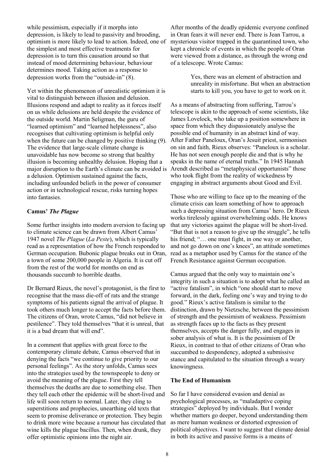while pessimism, especially if it morphs into depression, is likely to lead to passivity and brooding, optimism is more likely to lead to action. Indeed, one of the simplest and most effective treatments for depression is to turn this causation around so that instead of mood determining behaviour, behaviour determines mood. Taking action as a response to depression works from the "outside-in" (8).

Yet within the phenomenon of unrealistic optimism it is vital to distinguish between illusion and delusion. Illusions respond and adapt to reality as it forces itself on us while delusions are held despite the evidence of the outside world. Martin Seligman, the guru of "learned optimism" and "learned helplessness", also recognises that cultivating optimism is helpful only when the future can be changed by positive thinking (9). The evidence that large-scale climate change is unavoidable has now become so strong that healthy illusion is becoming unhealthy delusion. Hoping that a major disruption to the Earth's climate can be avoided is a delusion. Optimism sustained against the facts, including unfounded beliefs in the power of consumer action or in technological rescue, risks turning hopes into fantasies.

#### Camus' The Plague

Some further insights into modern aversion to facing up to climate science can be drawn from Albert Camus' 1947 novel *The Plague (La Peste)*, which is typically read as a representation of how the French responded to German occupation. Bubonic plague breaks out in Oran, a town of some 200,000 people in Algeria. It is cut off from the rest of the world for months on end as thousands succumb to horrible deaths.

Dr Bernard Rieux, the novel's protagonist, is the first to recognise that the mass die-off of rats and the strange symptoms of his patients signal the arrival of plague. It took others much longer to accept the facts before them. The citizens of Oran, wrote Camus, "did not believe in pestilence". They told themselves "that it is unreal, that it is a bad dream that will end".

In a comment that applies with great force to the contemporary climate debate, Camus observed that in denying the facts "we continue to give priority to our personal feelings". As the story unfolds, Camus sees into the strategies used by the townspeople to deny or avoid the meaning of the plague. First they tell themselves the deaths are due to something else. Then they tell each other the epidemic will be short-lived and life will soon return to normal. Later, they cling to superstitions and prophecies, unearthing old texts that seem to promise deliverance or protection. They begin to drink more wine because a rumour has circulated that wine kills the plague bacillus. Then, when drunk, they offer optimistic opinions into the night air.

After months of the deadly epidemic everyone confined in Oran fears it will never end. There is Jean Tarrou, a mysterious visitor trapped in the quarantined town, who kept a chronicle of events in which the people of Oran were viewed from a distance, as through the wrong end of a telescope. Wrote Camus:

> Yes, there was an element of abstraction and unreality in misfortune. But when an abstraction starts to kill you, you have to get to work on it.

As a means of abstracting from suffering, Tarrou's telescope is akin to the approach of some scientists, like James Lovelock, who take up a position somewhere in space from which they dispassionately analyse the possible end of humanity in an abstract kind of way. After Father Paneloux, Oran's Jesuit priest, sermonises on sin and faith, Rieux observes: "Paneloux is a scholar. He has not seen enough people die and that is why he speaks in the name of eternal truths." In 1945 Hannah Arendt described as "metaphysical opportunists" those who took flight from the reality of wickedness by engaging in abstract arguments about Good and Evil.

Those who are willing to face up to the meaning of the climate crisis can learn something of how to approach such a depressing situation from Camus' hero. Dr Rieux works tirelessly against overwhelming odds. He knows that any victories against the plague will be short-lived. "But that is not a reason to give up the struggle", he tells his friend; "... one must fight, in one way or another, and not go down on one's knees", an attitude sometimes read as a metaphor used by Camus for the stance of the French Resistance against German occupation.

Camus argued that the only way to maintain one's integrity in such a situation is to adopt what he called an "active fatalism", in which "one should start to move forward, in the dark, feeling one's way and trying to do good." Rieux's active fatalism is similar to the distinction, drawn by Nietzsche, between the pessimism of strength and the pessimism of weakness. Pessimism as strength faces up to the facts as they present themselves, accepts the danger fully, and engages in sober analysis of what is. It is the pessimism of Dr Rieux, in contrast to that of other citizens of Oran who succumbed to despondency, adopted a submissive stance and capitulated to the situation through a weary knowingness.

#### The End of Humanism

So far I have considered evasion and denial as psychological processes, as "maladaptive coping strategies" deployed by individuals. But I wonder whether matters go deeper, beyond understanding them as mere human weakness or distorted expression of political objectives. I want to suggest that climate denial in both its active and passive forms is a means of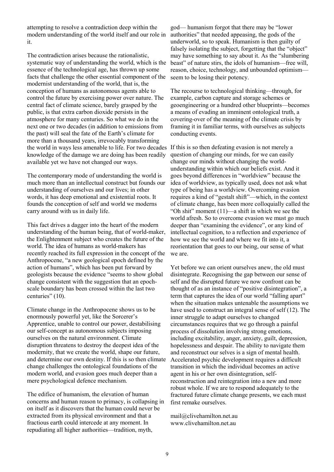attempting to resolve a contradiction deep within the modern understanding of the world itself and our role in it.

The contradiction arises because the rationalistic, systematic way of understanding the world, which is the essence of the technological age, has thrown up some facts that challenge the other essential component of the modernist understanding of the world, that is, the conception of humans as autonomous agents able to control the future by exercising power over nature. The central fact of climate science, barely grasped by the public, is that extra carbon dioxide persists in the atmosphere for many centuries. So what we do in the next one or two decades (in addition to emissions from the past) will seal the fate of the Earth's climate for more than a thousand years, irrevocably transforming the world in ways less amenable to life. For two decades If this is so then defeating evasion is not merely a knowledge of the damage we are doing has been readily available yet we have not changed our ways.

The contemporary mode of understanding the world is much more than an intellectual construct but founds our understanding of ourselves and our lives; in other words, it has deep emotional and existential roots. It founds the conception of self and world we moderns carry around with us in daily life.

This fact drives a dagger into the heart of the modern understanding of the human being, that of world-maker, the Enlightenment subject who creates the future of the world. The idea of humans as world-makers has recently reached its full expression in the concept of the Anthropocene, "a new geological epoch defined by the action of humans", which has been put forward by geologists because the evidence "seems to show global change consistent with the suggestion that an epochscale boundary has been crossed within the last two centuries" (10).

Climate change in the Anthropocene shows us to be enormously powerful yet, like the Sorcerer's Apprentice, unable to control our power, destabilising our self-concept as autonomous subjects imposing ourselves on the natural environment. Climate disruption threatens to destroy the deepest idea of the modernity, that we create the world, shape our future, and determine our own destiny. If this is so then climate change challenges the ontological foundations of the modern world, and evasion goes much deeper than a mere psychological defence mechanism.

The edifice of humanism, the elevation of human concerns and human reason to primacy, is collapsing in on itself as it discovers that the human could never be extracted from its physical environment and that a fractious earth could intercede at any moment. In repudiating all higher authorities—tradition, myth,

god— humanism forgot that there may be "lower authorities" that needed appeasing, the gods of the underworld, so to speak. Humanism is then guilty of falsely isolating the subject, forgetting that the "object" may have something to say about it. As the "slumbering beast" of nature stirs, the idols of humanism—free will, reason, choice, technology, and unbounded optimism seem to be losing their potency.

The recourse to technological thinking—through, for example, carbon capture and storage schemes or geoengineering or a hundred other blueprints—becomes a means of evading an imminent ontological truth, a covering-over of the meaning of the climate crisis by framing it in familiar terms, with ourselves as subjects conducting events.

question of changing our minds, for we can easily change our minds without changing the worldunderstanding within which our beliefs exist. And it goes beyond differences in "worldview" because the idea of worldview, as typically used, does not ask what type of being has a worldview. Overcoming evasion requires a kind of "gestalt shift"—which, in the context of climate change, has been more colloquially called the "Oh shit" moment (11)—a shift in which we see the world afresh. So to overcome evasion we must go much deeper than "examining the evidence", or any kind of intellectual cognition, to a reflection and experience of how we see the world and where we fit into it, a reorientation that goes to our being, our sense of what we are.

Yet before we can orient ourselves anew, the old must disintegrate. Recognising the gap between our sense of self and the disrupted future we now confront can be thought of as an instance of "positive disintegration", a term that captures the idea of our world "falling apart" when the situation makes untenable the assumptions we have used to construct an integral sense of self (12). The inner struggle to adapt ourselves to changed circumstances requires that we go through a painful process of dissolution involving strong emotions, including excitability, anger, anxiety, guilt, depression, hopelessness and despair. The ability to navigate them and reconstruct our selves is a sign of mental health. Accelerated psychic development requires a difficult transition in which the individual becomes an active agent in his or her own disintegration, selfreconstruction and reintegration into a new and more robust whole. If we are to respond adequately to the fractured future climate change presents, we each must first remake ourselves.

mail@clivehamilton.net.au www.clivehamilton.net.au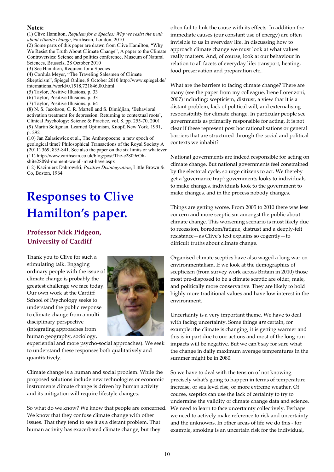#### Notes:

(1) Clive Hamilton, Requiem for a Species: Why we resist the truth about climate change, Earthscan, London, 2010 (2) Some parts of this paper are drawn from Clive Hamilton, "Why We Resist the Truth About Climate Change", A paper to the Climate Controversies: Science and politics conference, Museum of Natural

Sciences, Brussels, 28 October 2010

(3) See Hamilton, Requiem for a Species

(4) Cordula Meyer, "The Traveling Salesmen of Climate

Skepticism", Spiegel Online, 8 October 2010 http://www.spiegel.de/ international/world/0,1518,721846,00.html

- (5) Taylor, Positive Illusions, p. 33
- (6) Taylor, Positive Illusions, p. 33
- (7) Taylor, Positive Illusions, p. 64

(8) N. S. Jacobson, C. R. Martell and S. Dimidjian, 'Behavioral activation treatment for depression: Returning to contextual roots', Clinical Psychology: Science & Practice, vol. 8, pp. 255-70, 2001 (9) Martin Seligman, Learned Optimism, Knopf, New York, 1991, p. 292

(10) Jan Zalasiewicz et al., The Anthropocene: a new epoch of geological time? Philosophical Transactions of the Royal Society A (2011) 369, 835-841. See also the paper on the six limits or whatever (11) http://www.earthscan.co.uk/blog/post/The-e2809cOh-

shite2809d-moment-we-all-must-have.aspx

(12) Kazimierz Dabrowski, Positive Disintegration, Little Brown & Co, Boston, 1964

# Responses to Clive Hamilton's paper.

#### Professor Nick Pidgeon, University of Cardiff

Thank you to Clive for such a stimulating talk. Engaging ordinary people with the issue of climate change is probably the greatest challenge we face today. Our own work at the Cardiff School of Psychology seeks to understand the public response to climate change from a multi disciplinary perspective (integrating approaches from human geography, sociology,



experiential and more psycho-social approaches). We seek to understand these responses both qualitatively and quantitatively.

Climate change is a human and social problem. While the proposed solutions include new technologies or economic instruments climate change is driven by human activity and its mitigation will require lifestyle changes.

So what do we know? We know that people are concerned. We know that they confuse climate change with other issues. That they tend to see it as a distant problem. That human activity has exacerbated climate change, but they

often fail to link the cause with its effects. In addition the immediate causes (our constant use of energy) are often invisible to us in everyday life. In discussing how to approach climate change we must look at what values really matters. And, of course, look at our behaviour in relation to all facets of everyday life: transport, heating, food preservation and preparation etc..

What are the barriers to facing climate change? There are many (see the paper from my colleague, Irene Lorenzoni, 2007) including: scepticism, distrust, a view that it is a distant problem, lack of political will, and externalising responsibility for climate change. In particular people see governments as primarily responsible for acting. It is not clear if these represent post hoc rationalisations or general barriers that are structured through the social and political contexts we inhabit?

National governments are indeed responsible for acting on climate change. But national governments feel constrained by the electoral cycle, so urge citizens to act. We thereby get a 'governance trap': governments looks to individuals to make changes, individuals look to the government to make changes, and in the process nobody changes.

Things are getting worse. From 2005 to 2010 there was less concern and more scepticism amongst the public about climate change. This worsening scenario is most likely due to recession, boredom/fatigue, distrust and a deeply-felt resistance—as Clive's text explains so cogently—to difficult truths about climate change.

Organised climate sceptics have also waged a long war on environmentalism. If we look at the demographics of scepticism (from survey work across Britain in 2010) those most pre-disposed to be a climate sceptic are older, male, and politically more conservative. They are likely to hold highly more traditional values and have low interest in the environment.

Uncertainty is a very important theme. We have to deal with facing uncertainty. Some things are certain, for example: the climate is changing, it is getting warmer and this is in part due to our actions and most of the long run impacts will be negative. But we can't say for sure what the change in daily maximum average temperatures in the summer might be in 2080.

So we have to deal with the tension of not knowing precisely what's going to happen in terms of temperature increase, or sea level rise, or more extreme weather. Of course, sceptics can use the lack of certainty to try to undermine the validity of climate change data and science. We need to learn to face uncertainty collectively. Perhaps we need to actively make reference to risk and uncertainty and the unknowns. In other areas of life we do this - for example, smoking is an uncertain risk for the individual,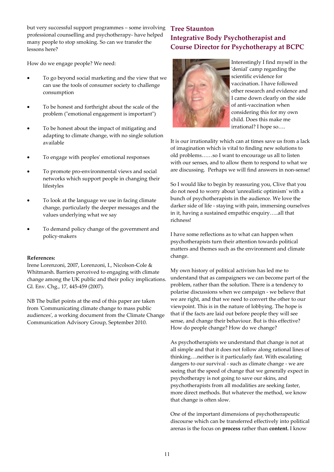but very successful support programmes – some involving professional counselling and psychotherapy- have helped many people to stop smoking. So can we transfer the lessons here?

How do we engage people? We need:

- To go beyond social marketing and the view that we can use the tools of consumer society to challenge consumption
- To be honest and forthright about the scale of the problem ("emotional engagement is important")
- To be honest about the impact of mitigating and adapting to climate change, with no single solution available
- To engage with peoples' emotional responses
- To promote pro-environmental views and social networks which support people in changing their lifestyles
- To look at the language we use in facing climate change, particularly the deeper messages and the values underlying what we say
- To demand policy change of the government and policy-makers

#### References:

Irene Lorenzoni, 2007, Lorenzoni, I., Nicolson-Cole & Whitmarsh. Barriers perceived to engaging with climate change among the UK public and their policy implications. Gl. Env. Chg., 17, 445-459 (2007).

NB The bullet points at the end of this paper are taken from 'Communicating climate change to mass public audiences', a working document from the Climate Change Communication Advisory Group, September 2010.

#### Tree Staunton Integrative Body Psychotherapist and Course Director for Psychotherapy at BCPC



Interestingly I find myself in the 'denial' camp regarding the scientific evidence for vaccination. I have followed other research and evidence and I came down clearly on the side of anti-vaccination when considering this for my own child. Does this make me irrational? I hope so….

It is our irrationality which can at times save us from a lack of imagination which is vital to finding new solutions to old problems……so I want to encourage us all to listen with our senses, and to allow them to respond to what we are discussing. Perhaps we will find answers in non-sense!

So I would like to begin by reassuring you, Clive that you do not need to worry about 'unrealistic optimism' with a bunch of psychotherapists in the audience. We love the darker side of life - staying with pain, immersing ourselves in it, having a sustained empathic enquiry…..all that richness!

I have some reflections as to what can happen when psychotherapists turn their attention towards political matters and themes such as the environment and climate change.

My own history of political activism has led me to understand that as campaigners we can become part of the problem, rather than the solution. There is a tendency to polarise discussions when we campaign - we believe that we are right, and that we need to convert the other to our viewpoint. This is in the nature of lobbying. The hope is that if the facts are laid out before people they will see sense, and change their behaviour. But is this effective? How do people change? How do we change?

As psychotherapists we understand that change is not at all simple and that it does not follow along rational lines of thinking….neither is it particularly fast. With escalating dangers to our survival - such as climate change - we are seeing that the speed of change that we generally expect in psychotherapy is not going to save our skins, and psychotherapists from all modalities are seeking faster, more direct methods. But whatever the method, we know that change is often slow.

One of the important dimensions of psychotherapeutic discourse which can be transferred effectively into political arenas is the focus on process rather than content. I know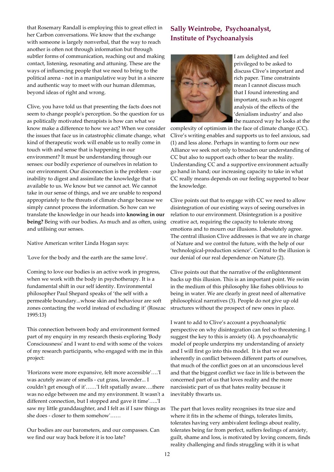that Rosemary Randall is employing this to great effect in her Carbon conversations. We know that the exchange with someone is largely nonverbal, that the way to reach another is often not through information but through subtler forms of communication, reaching out and making contact, listening, resonating and attuning. These are the ways of influencing people that we need to bring to the political arena - not in a manipulative way but in a sincere and authentic way to meet with our human dilemmas, beyond ideas of right and wrong.

Clive, you have told us that presenting the facts does not seem to change people's perception. So the question for us as politically motivated therapists is how can what we know make a difference to how we act? When we consider the issues that face us in catastrophic climate change, what kind of therapeutic work will enable us to really come in touch with and sense that is happening in our environment? It must be understanding through our senses: our bodily experience of ourselves in relation to our environment. Our disconnection is the problem - our inability to digest and assimilate the knowledge that is available to us. We know but we cannot act. We cannot take in our sense of things, and we are unable to respond appropriately to the threats of climate change because we simply cannot process the information. So how can we translate the knowledge in our heads into knowing in our being? Being with our bodies. As much and as often, using and utilising our senses.

Native American writer Linda Hogan says:

'Love for the body and the earth are the same love'.

Coming to love our bodies is an active work in progress, when we work with the body in psychotherapy. It is a fundamental shift in our self identity. Environmental philosopher Paul Shepard speaks of 'the self with a permeable boundary...whose skin and behaviour are soft zones contacting the world instead of excluding it' (Roszac 1995:13)

This connection between body and environment formed part of my enquiry in my research thesis exploring 'Body Consciousness' and I want to end with some of the voices of my research participants, who engaged with me in this project:

'Horizons were more expansive, felt more accessible'….'I was acutely aware of smells - cut grass, lavender... I couldn't get enough of it'……'I felt spatially aware….there was no edge between me and my environment. It wasn't a different connection, but I stopped and gave it time'…..'I saw my little granddaughter, and I felt as if I saw things as she does - closer to them somehow'……

Our bodies are our barometers, and our compasses. Can we find our way back before it is too late?

#### Sally Weintrobe, Psychoanalyst, Institute of Psychoanalysis



I am delighted and feel privileged to be asked to discuss Clive's important and rich paper. Time constraints mean I cannot discuss much that I found interesting and important, such as his cogent analysis of the effects of the 'denialism industry' and also the nuanced way he looks at the

complexity of optimism in the face of climate change (CC). Clive's writing enables and supports us to feel anxious, sad (1) and less alone. Perhaps in wanting to form our new Alliance we seek not only to broaden our understanding of CC but also to support each other to bear the reality. Understanding CC and a supportive environment actually go hand in hand; our increasing capacity to take in what CC really means depends on our feeling supported to bear the knowledge.

Clive points out that to engage with CC we need to allow disintegration of our existing ways of seeing ourselves in relation to our environment. Disintegration is a positive creative act, requiring the capacity to tolerate strong emotions and to mourn our illusions. I absolutely agree. The central illusion Clive addresses is that we are in charge of Nature and we control the future, with the help of our 'technological-production science'. Central to the illusion is our denial of our real dependence on Nature (2).

Clive points out that the narrative of the enlightenment backs up this illusion. This is an important point. We swim in the medium of this philosophy like fishes oblivious to being in water. We are clearly in great need of alternative philosophical narratives (3). People do not give up old structures without the prospect of new ones in place.

I want to add to Clive's account a psychoanalytic perspective on why disintegration can feel so threatening. I suggest the key to this is anxiety (4). A psychoanalytic model of people underpins my understanding of anxiety and I will first go into this model. It is that we are inherently in conflict between different parts of ourselves, that much of the conflict goes on at an unconscious level and that the biggest conflict we face in life is between the concerned part of us that loves reality and the more narcissistic part of us that hates reality because it inevitably thwarts us.

The part that loves reality recognises its true size and where it fits in the scheme of things, tolerates limits, tolerates having very ambivalent feelings about reality, tolerates being far from perfect, suffers feelings of anxiety, guilt, shame and loss, is motivated by loving concern, finds reality challenging and finds struggling with it is what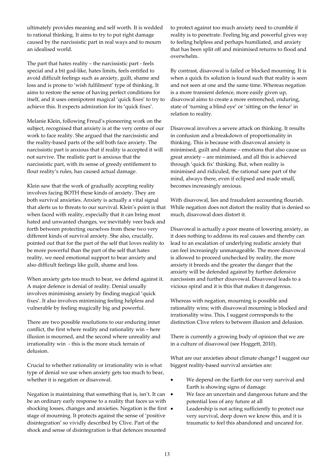ultimately provides meaning and self worth. It is wedded to rational thinking. It aims to try to put right damage caused by the narcissistic part in real ways and to mourn an idealised world.

The part that hates reality – the narcissistic part - feels special and a bit god-like, hates limits, feels entitled to avoid difficult feelings such as anxiety, guilt, shame and loss and is prone to 'wish fulfilment' type of thinking. It aims to restore the sense of having perfect conditions for itself, and it uses omnipotent magical 'quick fixes' to try to achieve this. It expects admiration for its 'quick fixes'.

Melanie Klein, following Freud's pioneering work on the subject, recognised that anxiety is at the very centre of our work to face reality. She argued that the narcissistic and the reality-based parts of the self both face anxiety. The narcissistic part is anxious that if reality is accepted it will not survive. The realistic part is anxious that the narcissistic part, with its sense of greedy entitlement to flout reality's rules, has caused actual damage.

Klein saw that the work of gradually accepting reality involves facing BOTH these kinds of anxiety. They are both survival anxieties. Anxiety is actually a vital signal that alerts us to threats to our survival. Klein's point is that when faced with reality, especially that it can bring most hated and unwanted changes, we inevitably veer back and forth between protecting ourselves from these two very different kinds of survival anxiety. She also, crucially, pointed out that for the part of the self that loves reality to be more powerful than the part of the self that hates reality, we need emotional support to bear anxiety and also difficult feelings like guilt, shame and loss.

When anxiety gets too much to bear, we defend against it. A major defence is denial of reality. Denial usually involves minimising anxiety by finding magical 'quick fixes'. It also involves minimising feeling helpless and vulnerable by feeling magically big and powerful.

There are two possible resolutions to our enduring inner conflict, the first where reality and rationality win – here illusion is mourned, and the second where unreality and irrationality win - this is the more stuck terrain of delusion.

Crucial to whether rationality or irrationality win is what type of denial we use when anxiety gets too much to bear, whether it is negation or disavowal.

Negation is maintaining that something that is, isn't. It can  $\bullet$ be an ordinary early response to a reality that faces us with shocking losses, changes and anxieties. Negation is the first  $\bullet$ stage of mourning. It protects against the sense of 'positive disintegration' so vividly described by Clive. Part of the shock and sense of disintegration is that defences mounted

to protect against too much anxiety need to crumble if reality is to penetrate. Feeling big and powerful gives way to feeling helpless and perhaps humiliated, and anxiety that has been split off and minimised returns to flood and overwhelm.

By contrast, disavowal is failed or blocked mourning. It is when a quick fix solution is found such that reality is seen and not seen at one and the same time. Whereas negation is a more transient defence, more easily given up, disavowal aims to create a more entrenched, enduring, state of 'turning a blind eye' or 'sitting on the fence' in relation to reality.

Disavowal involves a severe attack on thinking. It results in confusion and a breakdown of proportionality in thinking. This is because with disavowal anxiety is minimised, guilt and shame – emotions that also cause us great anxiety – are minimised, and all this is achieved through 'quick fix' thinking. But, when reality is minimised and ridiculed, the rational sane part of the mind, always there, even if eclipsed and made small, becomes increasingly anxious.

With disavowal, lies and fraudulent accounting flourish. While negation does not distort the reality that is denied so much, disavowal does distort it.

Disavowal is actually a poor means of lowering anxiety, as it does nothing to address its real causes and thereby can lead to an escalation of underlying realistic anxiety that can feel increasingly unmanageable. The more disavowal is allowed to proceed unchecked by reality, the more anxiety it breeds and the greater the danger that the anxiety will be defended against by further defensive narcissism and further disavowal. Disavowal leads to a vicious spiral and it is this that makes it dangerous.

Whereas with negation, mourning is possible and rationality wins; with disavowal mourning is blocked and irrationality wins. This, I suggest corresponds to the distinction Clive refers to between illusion and delusion.

There is currently a growing body of opinion that we are in a culture of disavowal (see Hoggett, 2010).

What are our anxieties about climate change? I suggest our biggest reality-based survival anxieties are:

- We depend on the Earth for our very survival and Earth is showing signs of damage
- We face an uncertain and dangerous future and the potential loss of any future at all
- Leadership is not acting sufficiently to protect our very survival, deep down we know this, and it is traumatic to feel this abandoned and uncared for.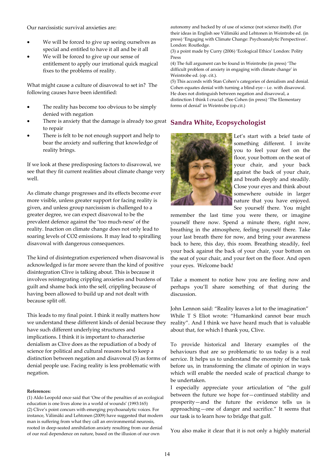Our narcissistic survival anxieties are:

- We will be forced to give up seeing ourselves as special and entitled to have it all and be it all
- We will be forced to give up our sense of entitlement to apply our irrational quick magical fixes to the problems of reality.

What might cause a culture of disavowal to set in? The following causes have been identified:

- The reality has become too obvious to be simply denied with negation
- There is anxiety that the damage is already too great to repair
- There is felt to be not enough support and help to bear the anxiety and suffering that knowledge of reality brings.

If we look at these predisposing factors to disavowal, we see that they fit current realities about climate change very well.

As climate change progresses and its effects become ever more visible, unless greater support for facing reality is given, and unless group narcissism is challenged to a greater degree, we can expect disavowal to be the prevalent defence against the 'too much-ness' of the reality. Inaction on climate change does not only lead to soaring levels of CO2 emissions. It may lead to spiralling disavowal with dangerous consequences.

The kind of disintegration experienced when disavowal is acknowledged is far more severe than the kind of positive disintegration Clive is talking about. This is because it involves reintegrating crippling anxieties and burdens of guilt and shame back into the self, crippling because of having been allowed to build up and not dealt with because split off.

This leads to my final point. I think it really matters how we understand these different kinds of denial because they have such different underlying structures and implications. I think it is important to characterise denialism as Clive does as the repudiation of a body of science for political and cultural reasons but to keep a distinction between negation and disavowal (5) as forms of denial people use. Facing reality is less problematic with negation.

#### References:

(1) Aldo Leopold once said that 'One of the penalties of an ecological education is one lives alone in a world of wounds' (1993:165) (2) Clive's point concurs with emerging psychoanalytic voices. For instance, Välimäki and Lehtonen (2009) have suggested that modern man is suffering from what they call an environmental neurosis, rooted in deep-seated annihilation anxiety resulting from our denial of our real dependence on nature, based on the illusion of our own

autonomy and backed by of use of science (not science itself). (For their ideas in English see Välimäki and Lehtonen in Weintrobe ed. (in press) 'Engaging with Climate Change: Psychoanalytic Perspectives'. London: Routledge.

(3) a point made by Curry (2006) 'Ecological Ethics' London: Polity Press

(4) The full argument can be found in Weintrobe (in press) 'The difficult problem of anxiety in engaging with climate change' in Weintrobe ed. (op. cit.).

(5) This accords with Stan Cohen's categories of denialism and denial. Cohen equates denial with turning a blind eye – i.e. with disavowal. He does not distinguish between negation and disavowal, a distinction I think I crucial. (See Cohen (in press) 'The Elementary forms of denial' in Weintrobe (op.cit.)

#### Sandra White, Ecopsychologist



Let's start with a brief taste of something different. I invite you to feel your feet on the floor, your bottom on the seat of your chair, and your back against the back of your chair, and breath deeply and steadily. Close your eyes and think about somewhere outside in larger nature that you have enjoyed. See yourself there. You might

remember the last time you were there, or imagine yourself there now. Spend a minute there, right now, breathing in the atmosphere, feeling yourself there. Take your last breath there for now, and bring your awareness back to here, this day, this room. Breathing steadily, feel your back against the back of your chair, your bottom on the seat of your chair, and your feet on the floor. And open your eyes. Welcome back!

Take a moment to notice how you are feeling now and perhaps you'll share something of that during the discussion.

John Lennon said: "Reality leaves a lot to the imagination" While T S Eliot wrote: "Humankind cannot bear much reality". And I think we have heard much that is valuable about that, for which I thank you, Clive.

To provide historical and literary examples of the behaviours that are so problematic to us today is a real service. It helps us to understand the enormity of the task before us, in transforming the climate of opinion in ways which will enable the needed scale of practical change to be undertaken.

I especially appreciate your articulation of "the gulf between the future we hope for—continued stability and prosperity—and the future the evidence tells us is approaching—one of danger and sacrifice." It seems that our task is to learn how to bridge that gulf.

You also make it clear that it is not only a highly material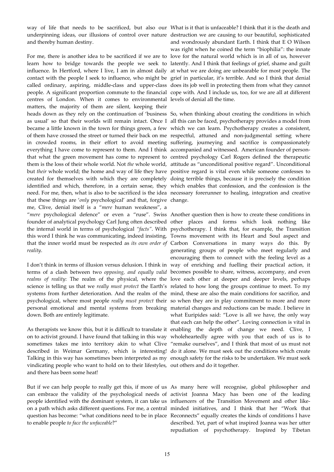and thereby human destiny.

For me, there is another idea to be sacrificed if we are to love for the natural world which is in all of us, however learn how to bridge towards the people we seek to latently. And I think that feelings of grief, shame and guilt influence. In Hertford, where I live, I am in almost daily at what we are doing are unbearable for most people. The contact with the people I seek to influence, who might be grief in particular, it's terrible. And so I think that denial called ordinary, aspiring, middle-class and upper-class does its job well in protecting them from what they cannot people. A significant proportion commute to the financial cope with. And I include us, too, for we are all at different centres of London. When it comes to environmental levels of denial all the time. matters, the majority of them are silent, keeping their heads down as they rely on the continuation of 'business So, when thinking about creating the conditions in which as usual' so that their worlds will remain intact. Once I all this can be faced, psychotherapy provides a model from became a little known in the town for things green, a few which we can learn. Psychotherapy creates a consistent, of them have crossed the street or turned their back on me respectful, attuned and non-judgmental setting where in crowded rooms, in their effort to avoid meeting suffering, journeying and sacrifice is compassionately everything I have come to represent to them. And I think accompanied and witnessed. American founder of personthat what the green movement has come to represent to centred psychology Carl Rogers defined the therapeutic them is the loss of their whole world. Not *the* whole world, attitude as "unconditional positive regard". Unconditional but *their* whole world; the home and way of life they have positive regard is vital even while someone confesses to created for themselves with which they are completely doing terrible things, because it is precisely the condition identified and which, therefore, in a certain sense, they which enables that confession, and the confession is the need. For me, then, what is also to be sacrificed is the idea necessary forerunner to healing, integration and creative that these things are 'only psychological' and that, forgive change. me, Clive, denial itself is a "mere human weakness", a "mere psychological defence" or even a "ruse". Swiss Another question then is how to create these conditions in founder of analytical psychology Carl Jung often described other places and forms which look nothing like the internal world in terms of psychological "facts". With psychotherapy. I think that, for example, the Transition this word I think he was communicating, indeed insisting, Towns movement with its Heart and Soul aspect and that the inner world must be respected as *its own order of* Carbon Conversations in many ways do this. By reality.

I don't think in terms of illusion versus delusion. I think in way of enriching and fuelling their practical action, it terms of a clash between two *opposing, and equally valid* becomes possible to share, witness, accompany, and even realms of reality: The realm of the physical, where the love each other at deeper and deeper levels, perhaps science is telling us that we *really must protect* the Earth's related to how long the groups continue to meet. To my systems from further deterioration. And the realm of the mind, these are also the main conditions for sacrifice, and psychological, where most people *really must protect* their so when they are in play commitment to more and more personal emotional and mental systems from breaking material changes and reductions can be made. I believe in down. Both are entirely legitimate.

As therapists we know this, but it is difficult to translate it enabling the depth of change we need. Clive, I on to activist ground. I have found that talking in this way wholeheartedly agree with you that each of us is to sometimes takes me into territory akin to what Clive "remake ourselves", and I think that most of us must not described in Weimar Germany, which is interesting! do it alone. We must seek out the conditions which create Talking in this way has sometimes been interpreted as my enough safety for the risks to be undertaken. We must seek vindicating people who want to hold on to their lifestyles, out others and do it together. and there has been some heat!

But if we can help people to really get this, if more of us As many here will recognise, global philosopher and people identified with the dominant system, it can take us influencers of the Transition Movement and other likeon a path which asks different questions. For me, a central minded initiatives, and I think that her "Work that to enable people to face the unfaceable?"

way of life that needs to be sacrificed, but also our What is it that is unfaceable? I think that it is the death and underpinning ideas, our illusions of control over nature destruction we are causing to our beautiful, sophisticated and wondrously abundant Earth. I think that E O Wilson was right when he coined the term "biophilia": the innate

generating groups of people who meet regularly and encouraging them to connect with the feeling level as a what Euripides said: "Love is all we have, the only way that each can help the other". Loving connection is vital in

can embrace the validity of the psychological needs of activist Joanna Macy has been one of the leading question has become: "what conditions need to be in place Reconnects" equally creates the kinds of conditions I have described. Yet, part of what inspired Joanna was her utter repudiation of psychotherapy. Inspired by Tibetan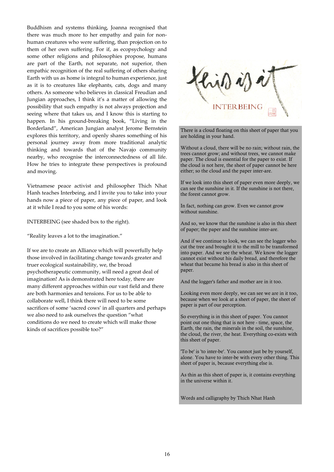Buddhism and systems thinking, Joanna recognised that there was much more to her empathy and pain for nonhuman creatures who were suffering, than projection on to them of her own suffering. For if, as ecopsychology and some other religions and philosophies propose, humans are part of the Earth, not separate, not superior, then empathic recognition of the real suffering of others sharing Earth with us as home is integral to human experience, just as it is to creatures like elephants, cats, dogs and many others. As someone who believes in classical Freudian and Jungian approaches, I think it's a matter of allowing the possibility that such empathy is not always projection and seeing where that takes us, and I know this is starting to happen. In his ground-breaking book, "Living in the Borderland", American Jungian analyst Jerome Bernstein explores this territory, and openly shares something of his personal journey away from more traditional analytic thinking and towards that of the Navajo community nearby, who recognise the interconnectedness of all life. How he tries to integrate these perspectives is profound and moving.

Vietnamese peace activist and philosopher Thich Nhat Hanh teaches Interbeing, and I invite you to take into your hands now a piece of paper, any piece of paper, and look at it while I read to you some of his words:

INTERBEING (see shaded box to the right).

"Reality leaves a lot to the imagination."

If we are to create an Alliance which will powerfully help those involved in facilitating change towards greater and truer ecological sustainability, we, the broad psychotherapeutic community, will need a great deal of imagination! As is demonstrated here today, there are many different approaches within our vast field and there are both harmonies and tensions. For us to be able to collaborate well, I think there will need to be some sacrifices of some 'sacred cows' in all quarters and perhaps we also need to ask ourselves the question "what conditions do we need to create which will make those kinds of sacrifices possible too?"



There is a cloud floating on this sheet of paper that you are holding in your hand.

Without a cloud, there will be no rain; without rain, the trees cannot grow; and without trees, we cannot make paper. The cloud is essential for the paper to exist. If the cloud is not here, the sheet of paper cannot be here either; so the cloud and the paper inter-are.

If we look into this sheet of paper even more deeply, we can see the sunshine in it. If the sunshine is not there, the forest cannot grow.

In fact, nothing can grow. Even we cannot grow without sunshine.

And so, we know that the sunshine is also in this sheet of paper; the paper and the sunshine inter-are.

And if we continue to look, we can see the logger who cut the tree and brought it to the mill to be transformed into paper. And we see the wheat. We know the logger cannot exist without his daily bread, and therefore the wheat that became his bread is also in this sheet of paper.

And the logger's father and mother are in it too.

Looking even more deeply, we can see we are in it too, because when we look at a sheet of paper, the sheet of paper is part of our perception.

So everything is in this sheet of paper. You cannot point out one thing that is not here - time, space, the Earth, the rain, the minerals in the soil, the sunshine, the cloud, the river, the heat. Everything co-exists with this sheet of paper.

'To be' is 'to inter-be'. You cannot just be by yourself, alone. You have to inter-be with every other thing. This sheet of paper is, because everything else is.

As thin as this sheet of paper is, it contains everything in the universe within it.

Words and calligraphy by Thich Nhat Hanh